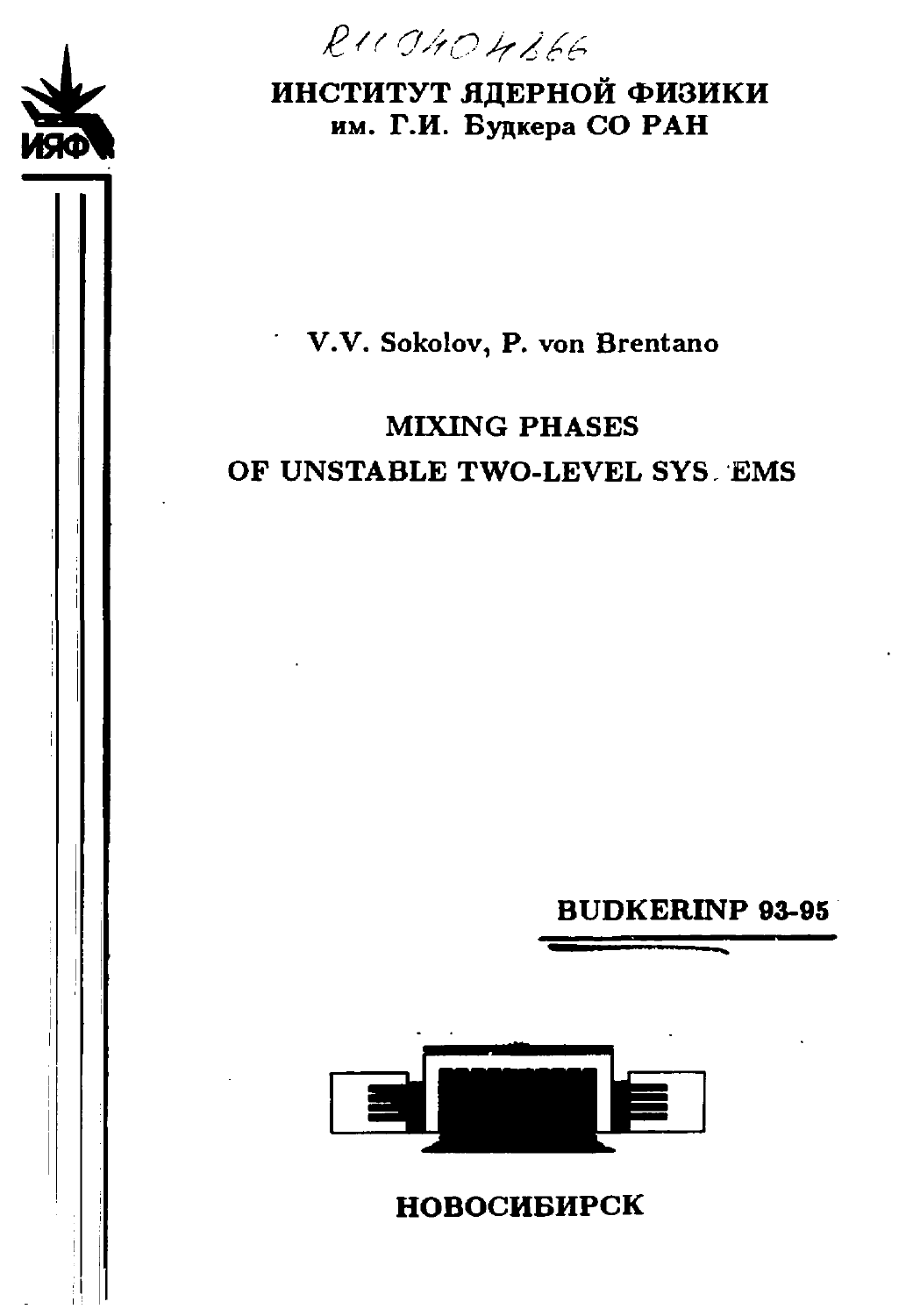

 $RUCA0404866$ 

## **ИНСТИТУТ ЯДЕРНОЙ ФИЗИКИ** им. **Г.И.** Будкера СО **РАН**

## V.V. Sokolov, P. von Brentano

# MIXING PHASES OF UNSTABLE TWO-LEVEL SYS EMS

**BUDKERINP 93-95**



**НОВОСИБИРСК**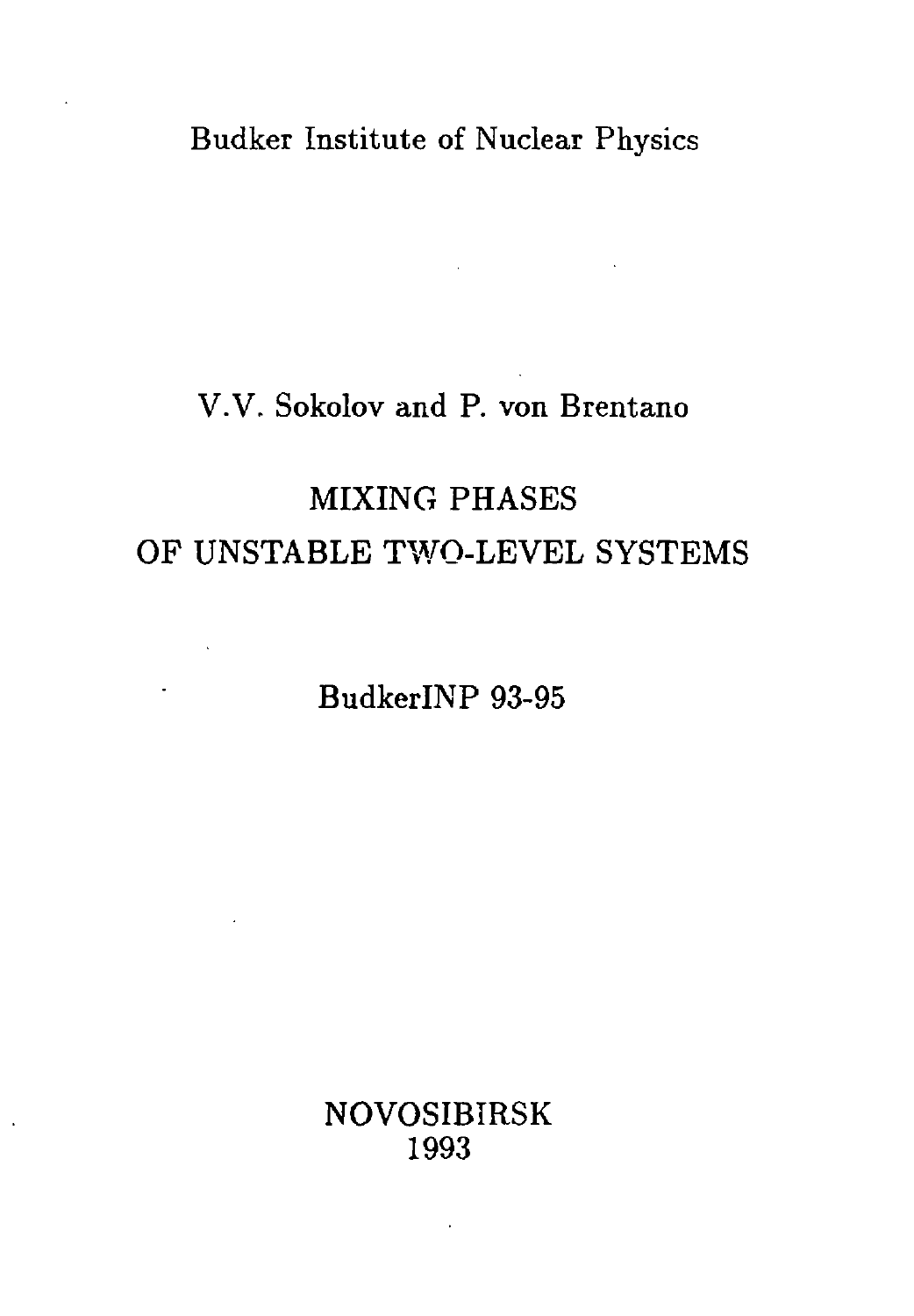Budker Institute of Nuclear Physics

 $\mathcal{L}^{\mathcal{L}}(\mathcal{L}^{\mathcal{L}})$  and  $\mathcal{L}^{\mathcal{L}}(\mathcal{L}^{\mathcal{L}})$  and  $\mathcal{L}^{\mathcal{L}}(\mathcal{L}^{\mathcal{L}})$  . Then

## V.V. Sokolov and P. von Brentano

# MIXING PHASES OF UNSTABLE TWO-LEVEL SYSTEMS

BudkerlNP 93-95

 $\mathcal{L}^{\text{max}}$ 

 $\ddot{\phantom{a}}$ 

 $\sim$ 

NOVOSIBIRSK 1993

**Contractor**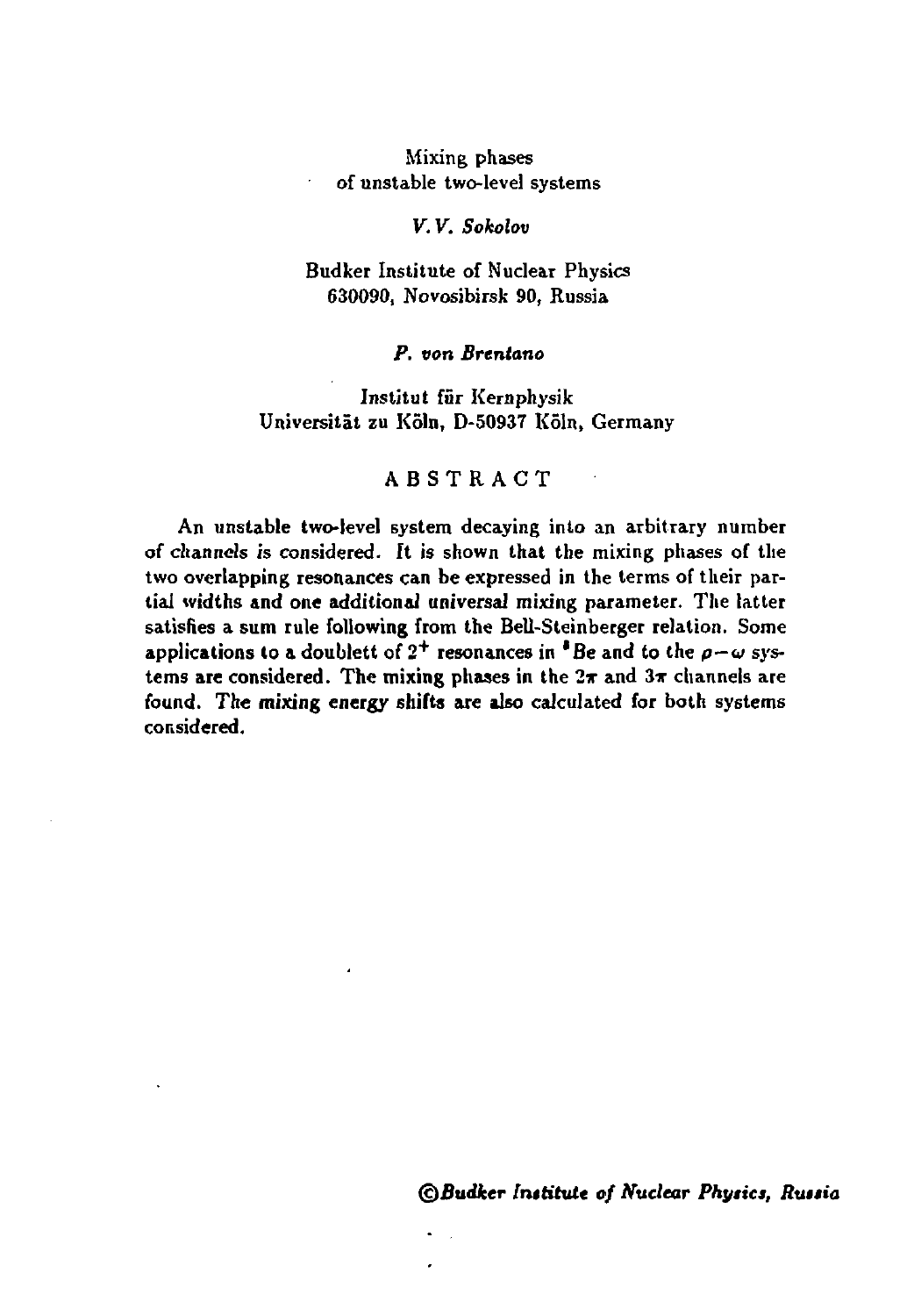#### **Mixing phases of unstable two-level systems**

#### *V. V. Sokolov*

#### **Budker Institute of Nuclear Physics 630090, Novosibirsk 90, Russia**

#### *P. von Brcntano*

#### **Institut fur Kernphysik Universitat zu Koln, D-50937 Koln, Germany**

#### **ABSTRAC T**

**An unstable two-level system decaying into an arbitrary number of channels is considered. It is shown that the mixing phases of the two overlapping resonances can be expressed in the terms of their partial widths and one additional universal mixing parameter. The latter satisfies a sum rule following from the Bell-Steinberger relation. Some applications to a doublett** of  $2^+$  resonances in  ${}^{\bullet}$  Be and to the  $\rho-\omega$  sys**tems are considered. The mixing phases in the 2т and 3\* channels are found. The mixing energy shifts are also calculated for both systems considered.**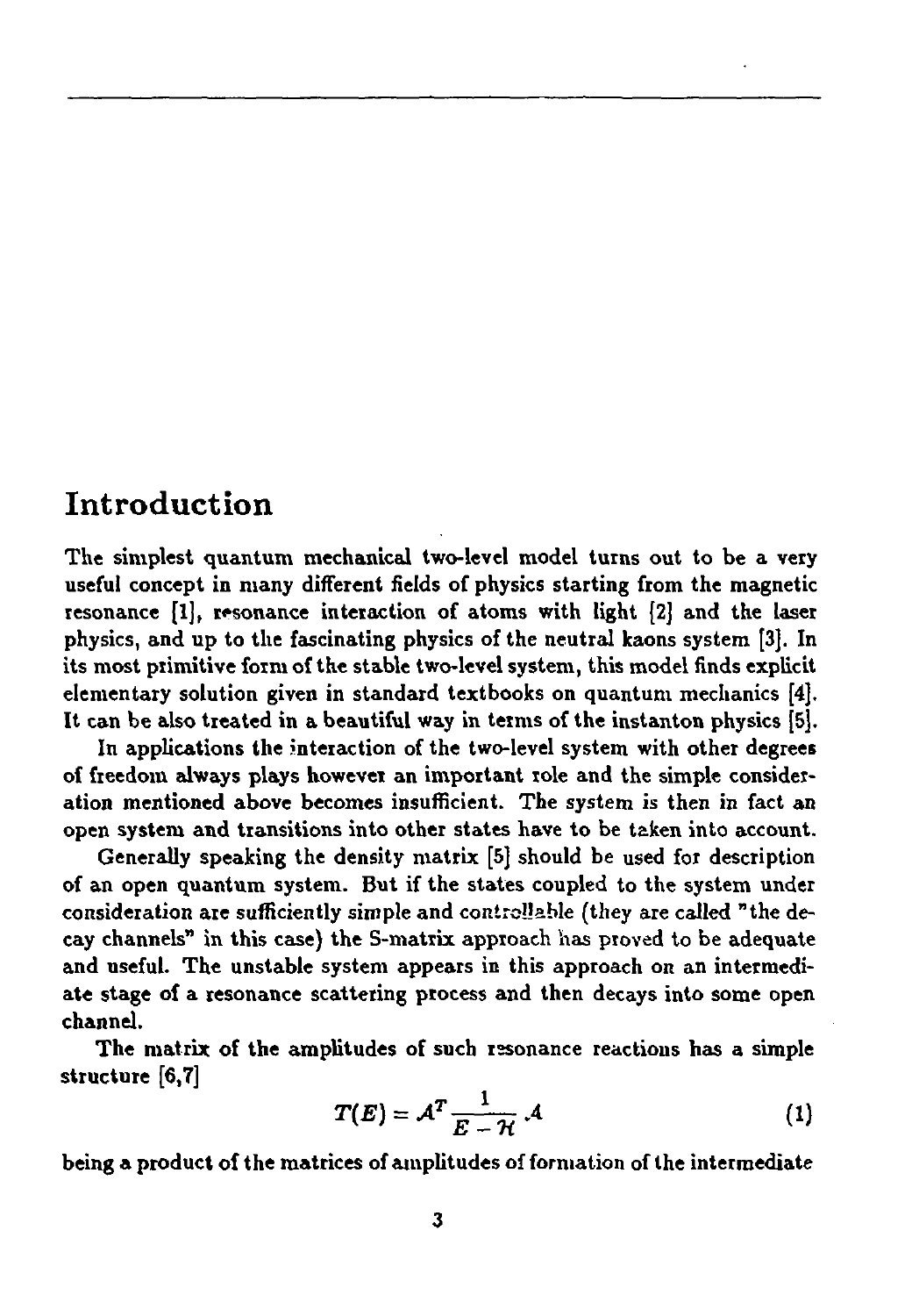## Introduction

**The simplest quantum mechanical two-level model turns out to be a very useful concept in many different fields of physics starting from the magnetic resonance [1], resonance interaction of atoms with light [2] and the laser physics, and up to the fascinating physics of the neutral kaons system [3]. In its most primitive form of the stable two-level system, this model finds explicit elementary solution given in standard textbooks on quantum mechanics [4]. It can be also treated in a beautiful way in terms of the instanton physics [5].**

**In applications the interaction of the two-level system with other degrees of freedom always plays however an important role and the simple consideration mentioned above becomes insufficient. The system is then in fact an open system and transitions into other states have to be taken into account.**

**Generally speaking the density matrix [5] should be used for description of an open quantum system. But if the states coupled to the system under consideration are sufficiently simple and controllable (they are called "the decay channels" in this case) the S-matrix approach has proved to be adequate and useful. The unstable system appears in this approach on an intermediate stage of a resonance scattering process and then decays into some open channel.**

**The matrix of the amplitudes of such resonance reactions has a simple structure [6,7]**

$$
T(E) = A^T \frac{1}{E - \mathcal{H}} \mathcal{A}
$$
 (1)

**being a product of the matrices of amplitudes of formation of the intermediate**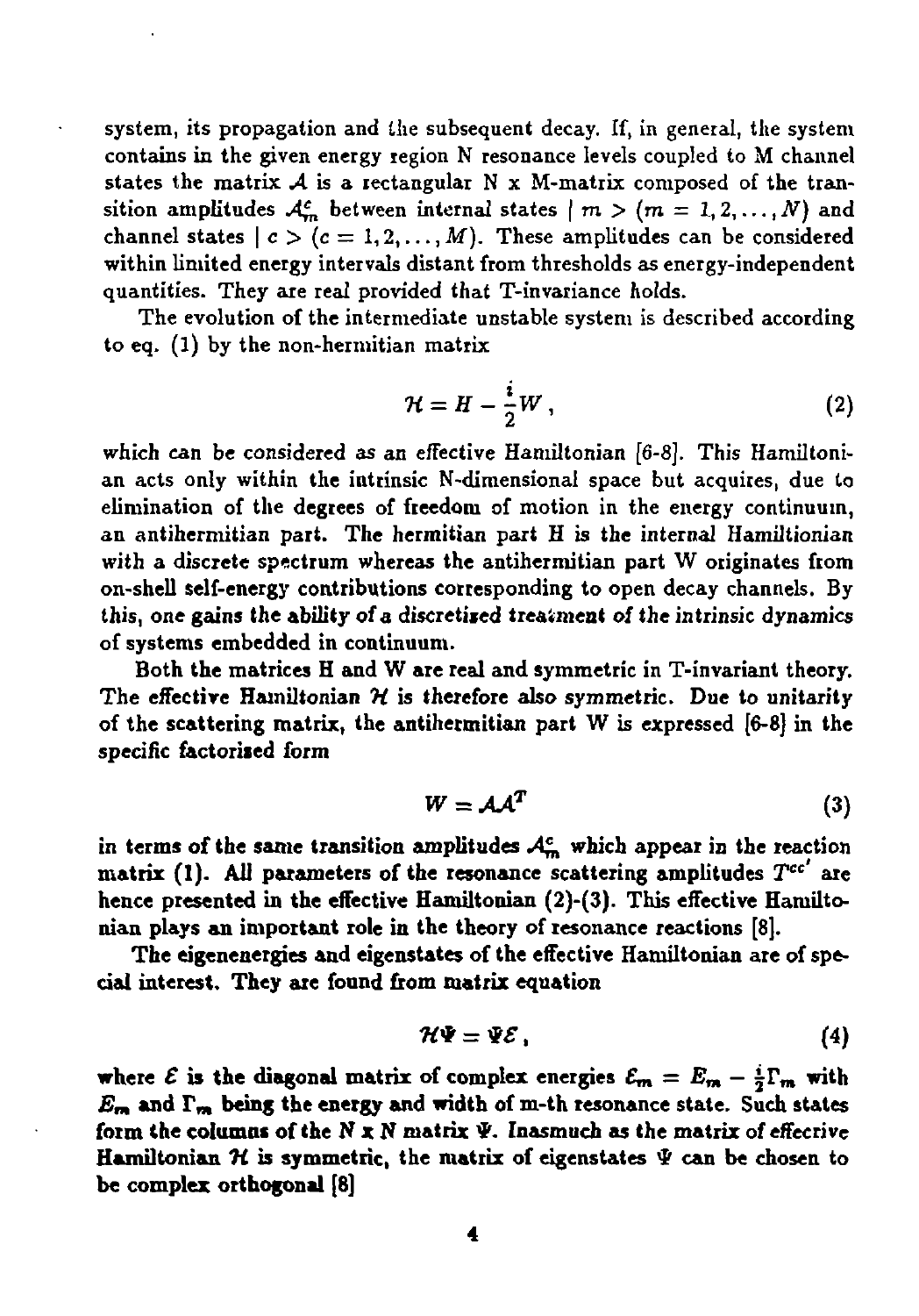system, its propagation and the subsequent decay. If, in general, the system contains in the given energy region N resonance levels coupled to M channel states the matrix  $A$  is a rectangular N x M-matrix composed of the transition amplitudes  $A_m^c$  between internal states  $\mid m > (m = 1, 2, ..., N)$  and channel states  $| c \rangle (c = 1, 2, ..., M)$ . These amplitudes can be considered within limited energy intervals distant from thresholds as energy-independent quantities. They are real provided that T-invariance holds.

The evolution of the intermediate unstable system is described according to eq. (1) by the non-hermitian matrix

$$
\mathcal{H} = H - \frac{i}{2}W , \qquad (2)
$$

which can be considered as an effective Hamiltonian [6-8]. This Hamiltonian acts only within the intrinsic N-dimensional space but acquires, due to elimination of the **degrees of** freedom of motion in the energy continuum, an antihermitian part. **The** hermitian part H is the internal Hamiltionian with a discrete **spectrum** whereas **the** antihermitian part W originates from on-shell **self-energy** contributions **corresponding to** open decay channels. By this, **one gains the ability of a discretiied treatment of** the intrinsic dynamics of systems **embedded in continuum.**

**Both the matrices H and W are real and symmetric in** T-invariant **theory. The effective Hamiltonian** *ti* **is therefore also symmetric. Due to unitarity of the scattering matrix, the antihermitian part** W is **expressed** [6-8] in **the** specific **factorised form**

$$
W = A A^T \tag{3}
$$

**in terms of the same transition amplitudes .4£, which appear in the reaction matrix (1). All parameters of the resonance scattering amplitudes У" are hence presented in the effective Hamiltonian (2)-(3). This effective Hamiltonian plays an important role in the theory of resonance reactions** [8].

**The eigenenergies and eigenstates of the effective Hamiltonian are of special interest. They are found from matrix equation**

$$
\mathcal{H}\Psi=\Psi\mathcal{E}\,,\tag{4}
$$

**where**  $\mathcal{E}$  is the diagonal matrix of complex energies  $\mathcal{E}_m = E_m - \frac{i}{2} \Gamma_m$  with  $E_{\mathbf{m}}$  and  $\Gamma_{\mathbf{m}}$  being the energy and width of m-th resonance state. Such states **form the columns of the N x N matrix \*. Inasmuch as the matrix of effecrive Hamiltonian И is symmetric, the matrix of eigenstates Ф can be chosen to be complex orthogonal [8]**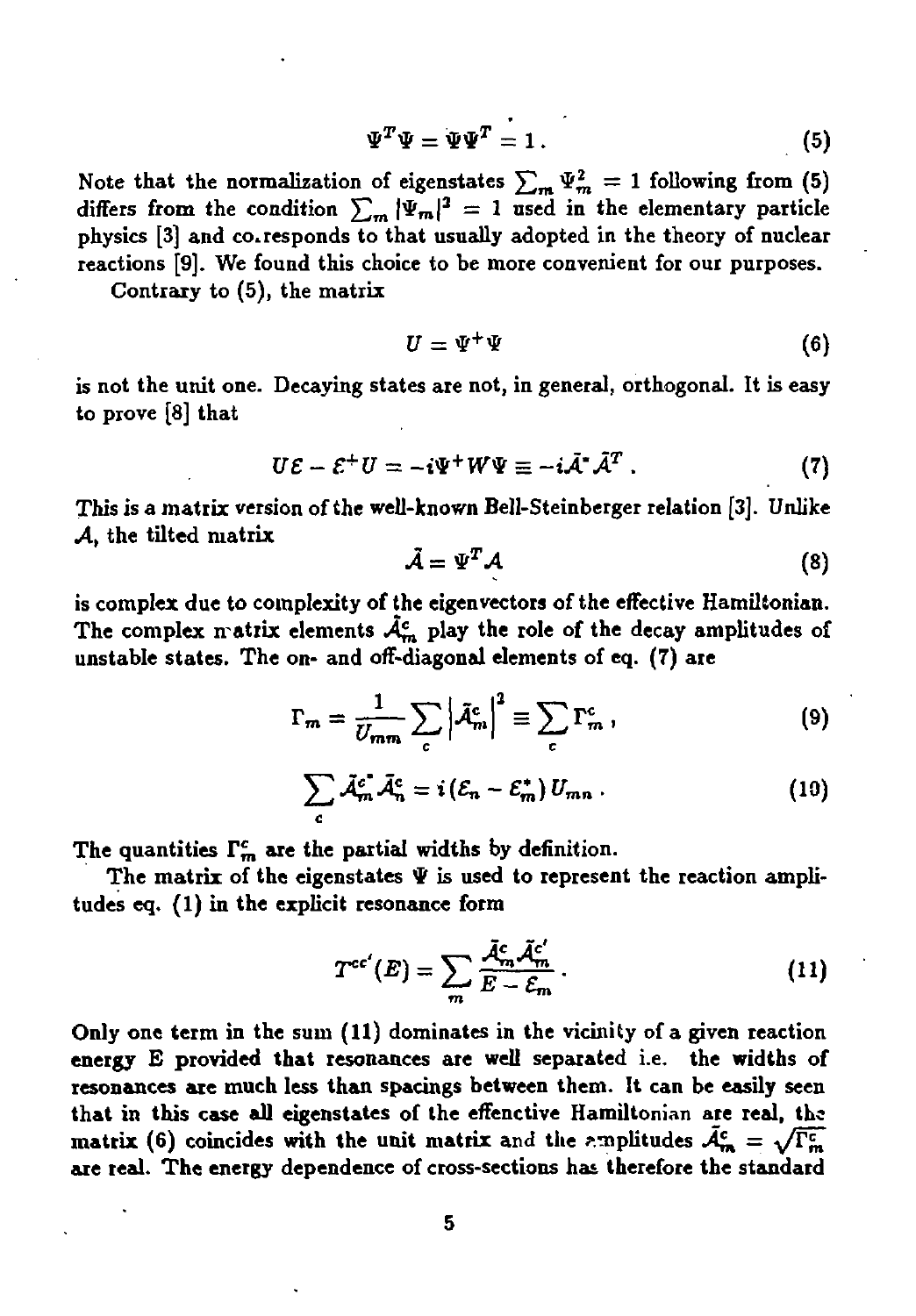$$
\Psi^T \Psi = \Psi \Psi^T = 1. \tag{5}
$$

Note that the normalization of eigenstates  $\sum_{m} \Psi_m^2 = 1$  following from (5) differs from the condition  $\sum_{m} |\Psi_m|^2 = 1$  used in the elementary particle **physics [3] and corresponds to that usually adopted in the theory of nuclear reactions [9]. We found this choice to be more convenient for our purposes.**

**Contrary to (5), the matrix**

$$
U = \Psi^+ \Psi \tag{6}
$$

**is not the unit one. Decaying states are not, in general, orthogonal. It is easy to prove [8] that**

$$
U\mathcal{E} - \mathcal{E}^+ U = -i\Psi^+ W \Psi \equiv -i\tilde{\mathcal{A}}^* \tilde{\mathcal{A}}^T . \qquad (7)
$$

**This is a matrix version of the well-known Bell-Steinberger relation [3]. Unlike** *A,* **the tilted matrix**

$$
\tilde{\mathcal{A}} = \Psi^T \mathcal{A} \tag{8}
$$

**is complex due to complexity of the eigenvectors of the effective Hamiltonian. The complex n atrlx elements** *A^* **play the role of the decay amplitudes of unstable states. The on- and off-diagonal elements of eq. (7) are**

$$
\Gamma_m = \frac{1}{U_{mm}} \sum_c \left| \tilde{\mathcal{A}}_m^c \right|^2 \equiv \sum_c \Gamma_m^c \,, \tag{9}
$$

$$
\sum_{c} \tilde{\mathcal{A}}_{m}^{c} \tilde{\mathcal{A}}_{n}^{c} = i \left( \mathcal{E}_{n} - \mathcal{E}_{m}^{*} \right) U_{mn} . \qquad (10)
$$

The quantities  $\Gamma_n^c$  are the partial widths by definition.

The matrix of the eigenstates  $\Psi$  is used to represent the reaction ampli**tudes eq. (1) in the explicit resonance form**

$$
T^{cc'}(E) = \sum_{m} \frac{\tilde{\mathcal{A}}_m^c \tilde{\mathcal{A}}_m^{c'}}{E - \mathcal{E}_m} \,. \tag{11}
$$

**Only one term in the sum (11) dominates in the vicinity of a given reaction energy Б provided that resonances are well separated i.e. the widths of resonances are much less than spacings between them. It can be easily seen that in this case all eigenstates of the effenctive Hamiltonian are real, the matrix** (6) **coincides** with the unit matrix and the *emplitudes*  $\bar{A}_{\rm ra}^{\rm c} = \sqrt{\Gamma_{\rm m}^{\rm c}}$ **are real. The energy dependence of cross-sections has therefore the standard**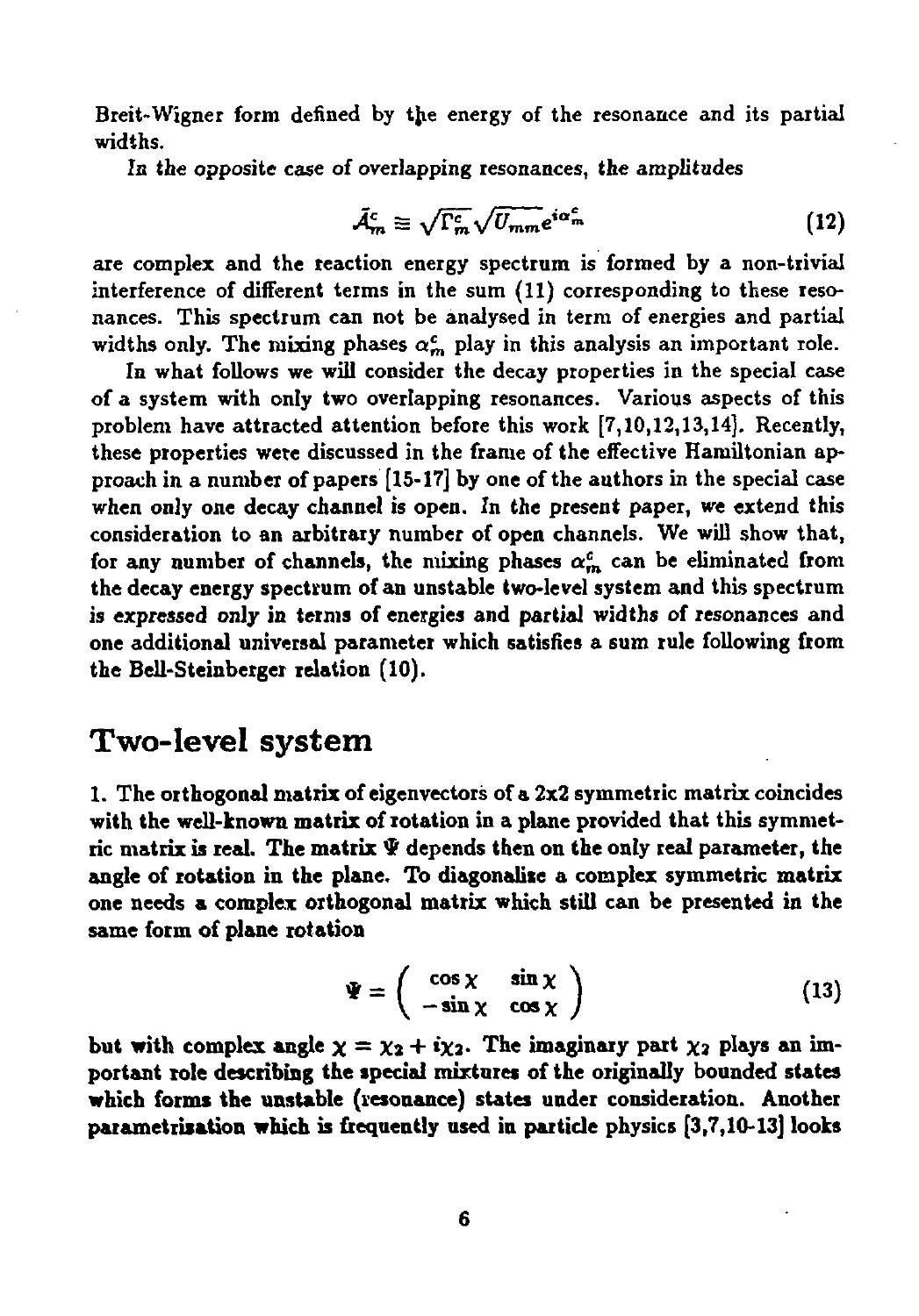Breit-Wigner form defined by the energy of the resonance and its partial widths.

In the opposite case of overlapping resonances, the amplitudes

$$
\bar{\mathcal{A}}_m^c \equiv \sqrt{\Gamma_m^c} \sqrt{U_{mm}} e^{i\alpha_m^c} \tag{12}
$$

are complex and the reaction energy spectrum is formed by a non-trivial interference of different terms in the sum (11) corresponding to these resonances. This spectrum can not be analysed in term of energies and partial widths only. The mixing phases  $\alpha_m^c$  play in this analysis an important role.

In what follows we will consider the decay properties in the special case of a system with only two overlapping resonances. Various aspects of this problem have attracted attention before this work [7,10,12,13,14]. Recently, these properties were discussed in the frame of the effective Hamiltonian approach in a number of papers [15-17] by one of the authors in the special case **when only one decay channel** is **open.** In **the present** paper, we extend this consideration to an arbitrary number of open channels. We will show that, for any number of channels, the mixing phases  $\alpha_m^c$  can be eliminated from **the decay energy spectrum of an unstable two-level** system and this spectrum is **expressed only in terms of energies and partial** widths of resonances and **one additional universal parameter which satisfies a sum rule following from the Bell-Steinberger relation (10).**

### **Two-level system**

**1. The orthogonal matrix of** eigenvectors of **a** 2x2 symmetric matrix coincides **with the well-known matrix of rotation in a plane provided that this symmetric matrix is real. The matrix Ф depends then on the only real parameter, the angle of rotation in the plane. To diagonalise a complex symmetric matrix one needs a complex orthogonal matrix which still can be presented in the same form of plane rotation**

$$
\Psi = \left( \begin{array}{cc} \cos \chi & \sin \chi \\ -\sin \chi & \cos \chi \end{array} \right) \tag{13}
$$

but with complex angle  $\chi = \chi_2 + i\chi_2$ . The imaginary part  $\chi_2$  plays an im**portant role describing the special mixtures of the originally bounded states which forms the unstable (resonance) states under consideration. Another parametriiation which is frequently used in particle physics [3,7,10-13] looks**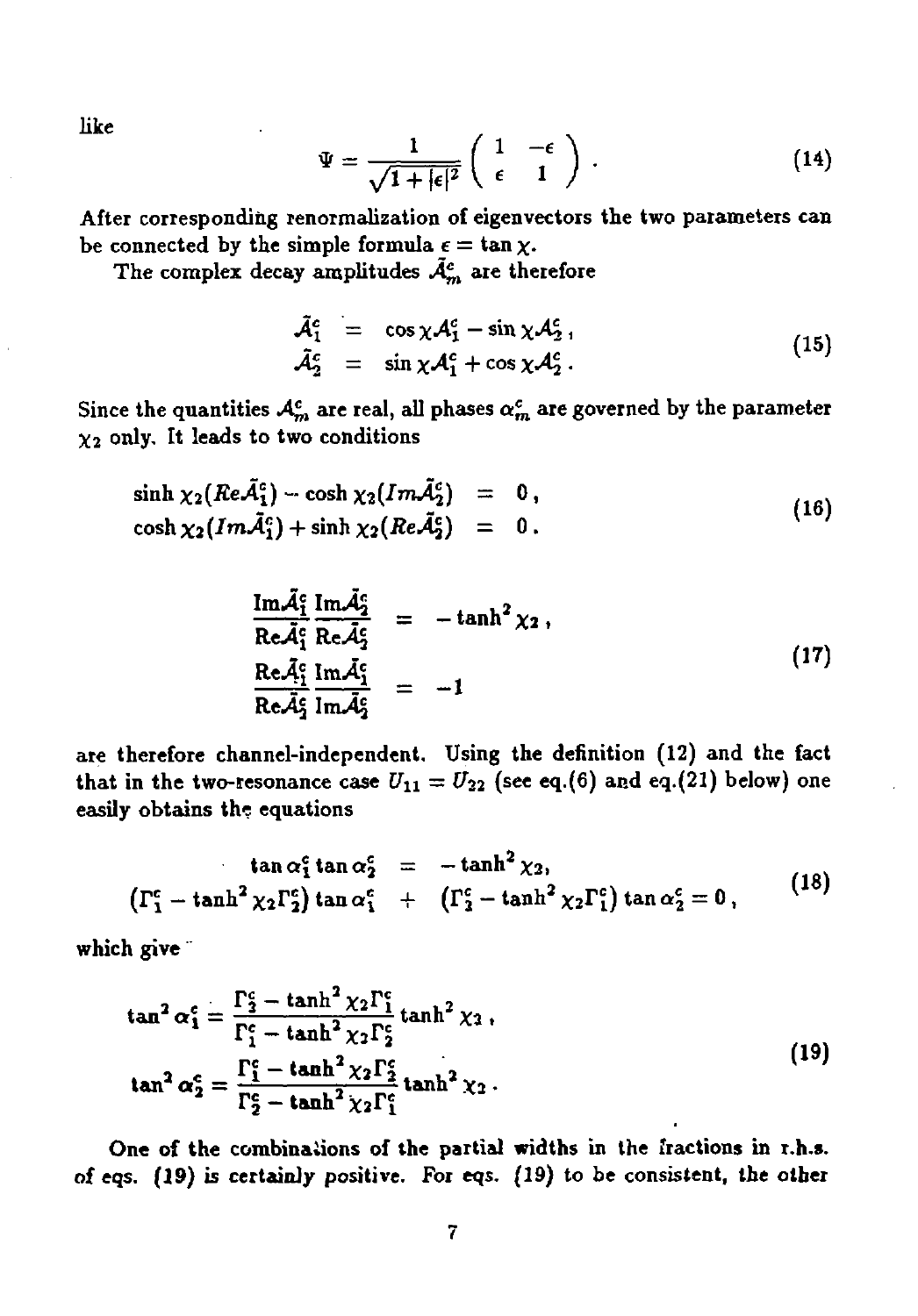**like**

$$
\Psi = \frac{1}{\sqrt{1+|\epsilon|^2}} \begin{pmatrix} 1 & -\epsilon \\ \epsilon & 1 \end{pmatrix} .
$$
 (14)

**After corresponding renormalization of eigenvectors the two parameters can** be connected by the simple formula  $\epsilon = \tan \chi$ .

**The complex decay amplitudes** *A^* **are therefore**

$$
\tilde{\mathcal{A}}_1^c = \cos \chi \mathcal{A}_1^c - \sin \chi \mathcal{A}_2^c ,\n\tilde{\mathcal{A}}_2^c = \sin \chi \mathcal{A}_1^c + \cos \chi \mathcal{A}_2^c .
$$
\n(15)

Since the quantities  $A^c_m$  are real, all phases  $\alpha^c_m$  are governed by the parameter  $\chi_2$  only. It leads to two conditions

$$
\sinh \chi_2(Re\tilde{\mathcal{A}}_1^c) - \cosh \chi_2(Im\tilde{\mathcal{A}}_2^c) = 0, \cosh \chi_2(Im\tilde{\mathcal{A}}_1^c) + \sinh \chi_2(Re\tilde{\mathcal{A}}_2^c) = 0.
$$
\n(16)

$$
\frac{\text{Im}\tilde{\mathcal{A}}_1^c}{\text{Re}\tilde{\mathcal{A}}_1^c} \frac{\text{Im}\tilde{\mathcal{A}}_2^c}{\text{Re}\tilde{\mathcal{A}}_1^c} = -\tanh^2 \chi_2 ,
$$
\n
$$
\frac{\text{Re}\tilde{\mathcal{A}}_1^c}{\text{Re}\tilde{\mathcal{A}}_2^c} \frac{\text{Im}\tilde{\mathcal{A}}_2^c}{\text{Im}\tilde{\mathcal{A}}_2^c} = -1
$$
\n(17)

**are therefore channel-independent. Using the definition (12) and the fact that** in the **two-resonance** case  $U_{11} = U_{22}$  (see eq.(6) and eq.(21) below) one **easily obtains the equations**

$$
\tan \alpha_1^c \tan \alpha_2^c = -\tanh^2 \chi_2, \n\left(\Gamma_1^c - \tanh^2 \chi_2 \Gamma_2^c\right) \tan \alpha_1^c + \left(\Gamma_2^c - \tanh^2 \chi_2 \Gamma_1^c\right) \tan \alpha_2^c = 0,
$$
\n(18)

**which give"**

$$
\tan^2 \alpha_1^c = \frac{\Gamma_2^c - \tanh^2 \chi_2 \Gamma_1^c}{\Gamma_1^c - \tanh^2 \chi_2 \Gamma_2^c} \tanh^2 \chi_3 ,
$$
  
\n
$$
\tan^2 \alpha_2^c = \frac{\Gamma_1^c - \tanh^2 \chi_2 \Gamma_2^c}{\Gamma_2^c - \tanh^2 \chi_2 \Gamma_1^c}
$$

**One of the combinations of the partial widths in the fractions in r.h.s. of eqs. (19) is certainly positive. For eqs. (19) to be consistent, the other**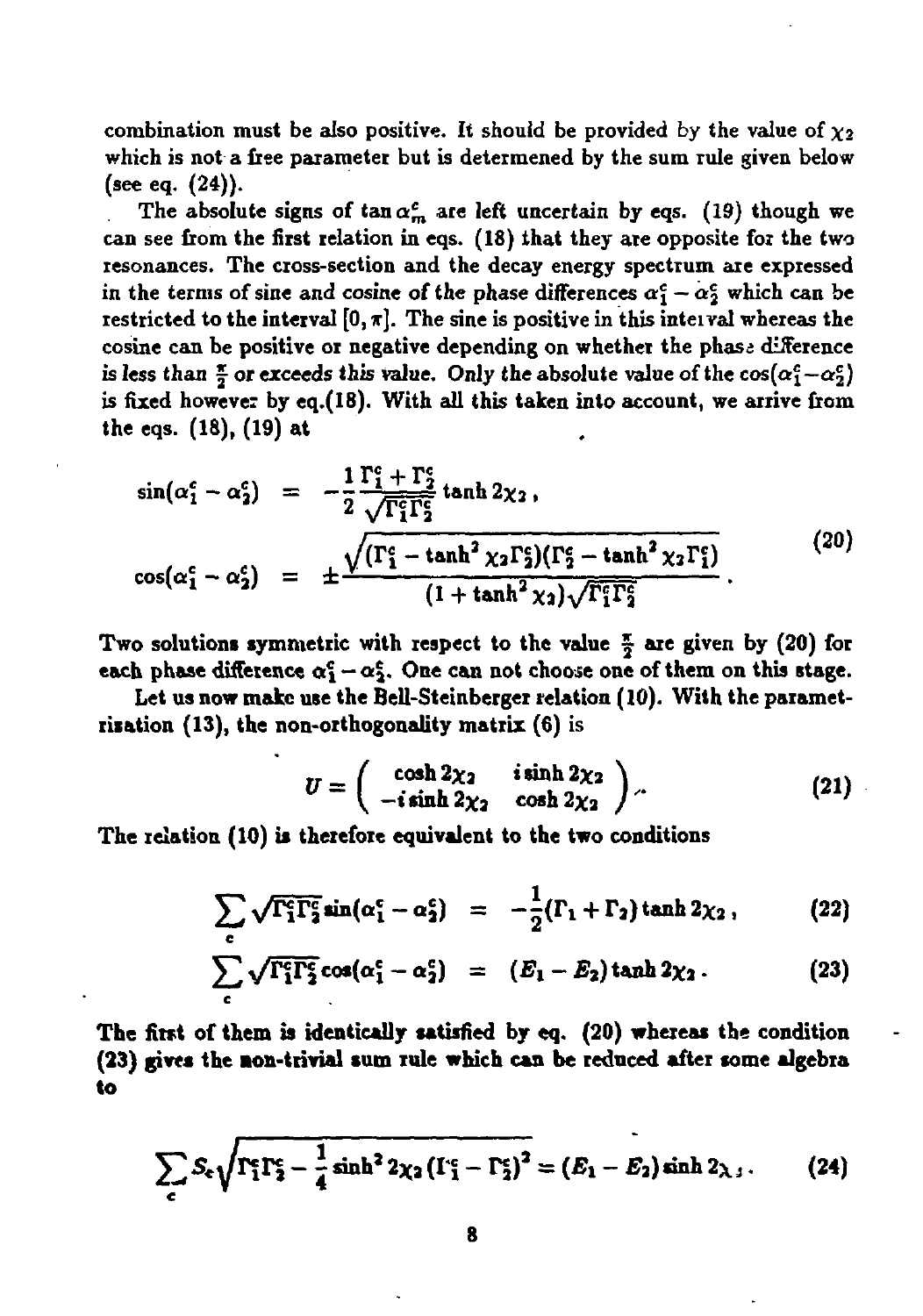combination must be also positive. It should be provided by the value of  $\chi_2$ which is not a free parameter but is determened by the sum rule given below (see eq. (24)).

The absolute signs of  $\tan \alpha_m^c$  are left uncertain by eqs. (19) though we can see from the first relation in eqs. (18) that they ate opposite for the two resonances. **The** cross-section and the decay energy spectrum are expressed in the terms of sine and cosine of the phase differences  $\alpha_1^c - \alpha_2^c$  which can be restricted to the interval  $[0, \pi]$ . The sine is positive in this interval whereas the cosine can be positive or negative depending on whether the phase difference is less than  $\frac{\pi}{2}$  or exceeds this value. Only the absolute value of the  $cos(\alpha_1^c - \alpha_2^c)$ is **fixed howevei by eq.(18). With all this taken** into account, we arrive from the eqs. (18), (19) at

$$
\sin(\alpha_1^c - \alpha_2^c) = -\frac{1}{2} \frac{\Gamma_1^c + \Gamma_2^c}{\sqrt{\Gamma_1^c \Gamma_2^c}} \tanh 2\chi_2 ,
$$
\n
$$
\cos(\alpha_1^c - \alpha_2^c) = \pm \frac{\sqrt{(\Gamma_1^c - \tanh^2 \chi_2 \Gamma_2^c)(\Gamma_2^c - \tanh^2 \chi_2 \Gamma_1^c)}}{(1 + \tanh^2 \chi_2) \sqrt{\Gamma_1^c \Gamma_2^c}} .
$$
\n(20)

**Two solutions symmetric with respect to the value | are given by (20) for each** phase difference  $\alpha_1^c - \alpha_2^c$ . One can not choose one of them on this stage.

**Let us now make use the Bell-Steinberger relation (10). With the parametrixation (13), the non-orthogonality matrix (6) is**

$$
U = \begin{pmatrix} \cosh 2\chi_2 & i \sinh 2\chi_2 \\ -i \sinh 2\chi_2 & \cosh 2\chi_2 \end{pmatrix} . \tag{21}
$$

**The relation (10) is therefore equivalent to the two conditions**

$$
\sum_{c} \sqrt{\Gamma_1^c \Gamma_2^c} \sin(\alpha_1^c - \alpha_2^c) = -\frac{1}{2} (\Gamma_1 + \Gamma_2) \tanh 2\chi_2, \qquad (22)
$$

$$
\sum_{c} \sqrt{\Gamma_1^c \Gamma_2^c} \cos(\alpha_1^c - \alpha_2^c) = (E_1 - E_2) \tanh 2\chi_2. \tag{23}
$$

**The first of them is identically satisfied by eq. (20) whereas the condition (23) gives the eon-trivial sum rule which** can **be reduced after some algebra to**

$$
\sum_{c} S_c \sqrt{\Gamma_1^c \Gamma_2^c - \frac{1}{4} \sinh^2 2\chi_2 \left(\Gamma_1^c - \Gamma_2^c\right)^2} = (E_1 - E_2) \sinh 2\chi_3. \tag{24}
$$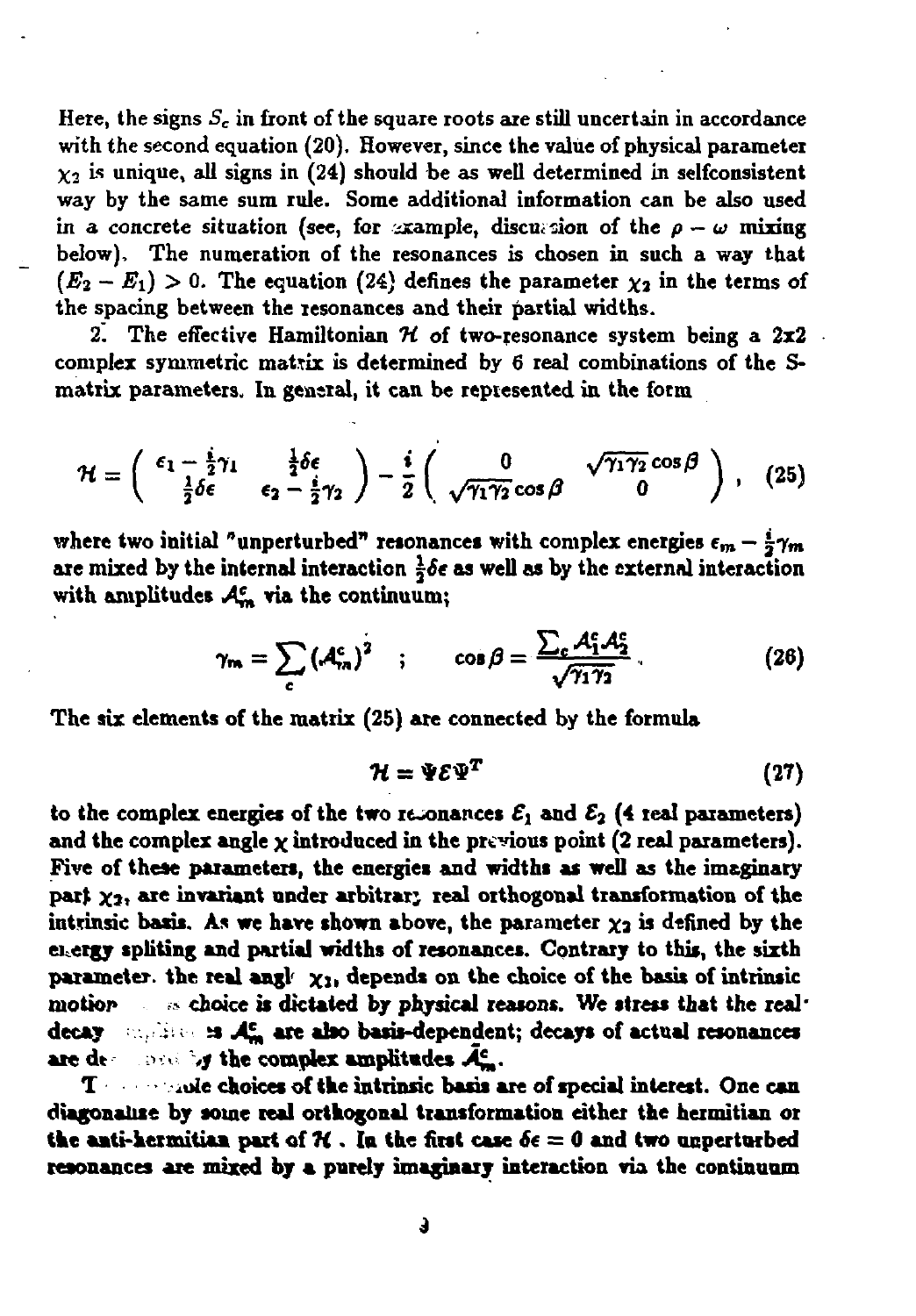**Here, the signs** *S<sup>c</sup>* **in front of the square roots are still uncertain in accordance with the second equation (20). However, since the value of physical parameter**  $\chi_2$  is unique, all signs in (24) should be as well determined in selfconsistent **way by the same sum rule. Some additional information can be also used** in a concrete situation (see, for example, discussion of the  $\rho - \omega$  mixing **below), The numeration of the resonances is chosen in such a way that**  $(E_2 - E_1) > 0$ . The equation (24) defines the parameter  $\chi_2$  in the terms of **the spacing between the resonances and their partial widths.**

**2. The effective Hamiltonian** *H* **of two-resonance system being a 2x2 complex symmetric matrix is determined by 6 real combinations of the Smatrix parameters. In general, it can be represented in the form**

$$
\mathcal{H} = \begin{pmatrix} \epsilon_1 - \frac{i}{2}\gamma_1 & \frac{1}{2}\delta\epsilon \\ \frac{1}{2}\delta\epsilon & \epsilon_2 - \frac{i}{2}\gamma_2 \end{pmatrix} - \frac{i}{2}\begin{pmatrix} 0 & \sqrt{\gamma_1\gamma_2}\cos\beta \\ \sqrt{\gamma_1\gamma_2}\cos\beta & 0 \end{pmatrix}, \quad (25)
$$

**where two initial** "unperturbed" resonances with complex energies  $\epsilon_m - \frac{i}{2}\gamma_m$ **are mixed by the internal interaction** *\6t* **as well as by the external interaction with amplitudes / £ , via the continuum;**

$$
\gamma_m = \sum_c \left(\mathcal{A}_m^c\right)^2 \quad ; \qquad \cos \beta = \frac{\sum_c \mathcal{A}_1^c \mathcal{A}_2^c}{\sqrt{\gamma_1 \gamma_2}} \tag{26}
$$

**The six elements of the matrix (25) are connected by the formula**

$$
\mathcal{H} = \Psi \mathcal{E} \Psi^T \tag{27}
$$

**to** the complex energies of the two resonances  $\mathcal{E}_1$  and  $\mathcal{E}_2$  (4 real parameters) **and the complex angle x introduced in the previous point (2 real parameters). Five of these parameters, the energies and widths as well as the imaginary** part  $\chi_2$ , are invariant under arbitrary real orthogonal transformation of the intrinsic **basis.** As we have shown above, the parameter  $\chi_2$  is defined by the **energy spliting and partial widths of resonances. Contrary to this, the sixth parameter, the real angl' xii depends on the choice of the basis of intrinsic motiop >-• choice is dictated by physical reasons. We stress that the real\* decay :•.-., ;•• » .4J, are akto basis-dependent; decays of actual resonances are dt о л** *,j* **the complex amptitades ,\*£,.**

*1* **• iule choices of the intrinsic basis are of special interest. One can diagonause by some real orthogonal transformation either the hermitian or the anti-kermitian part of**  $\mathcal{H}$ **. In the first case**  $\delta \epsilon = 0$  **and two unperturbed resonances are mixed by a purely imaginary interaction via the continuum**

*i*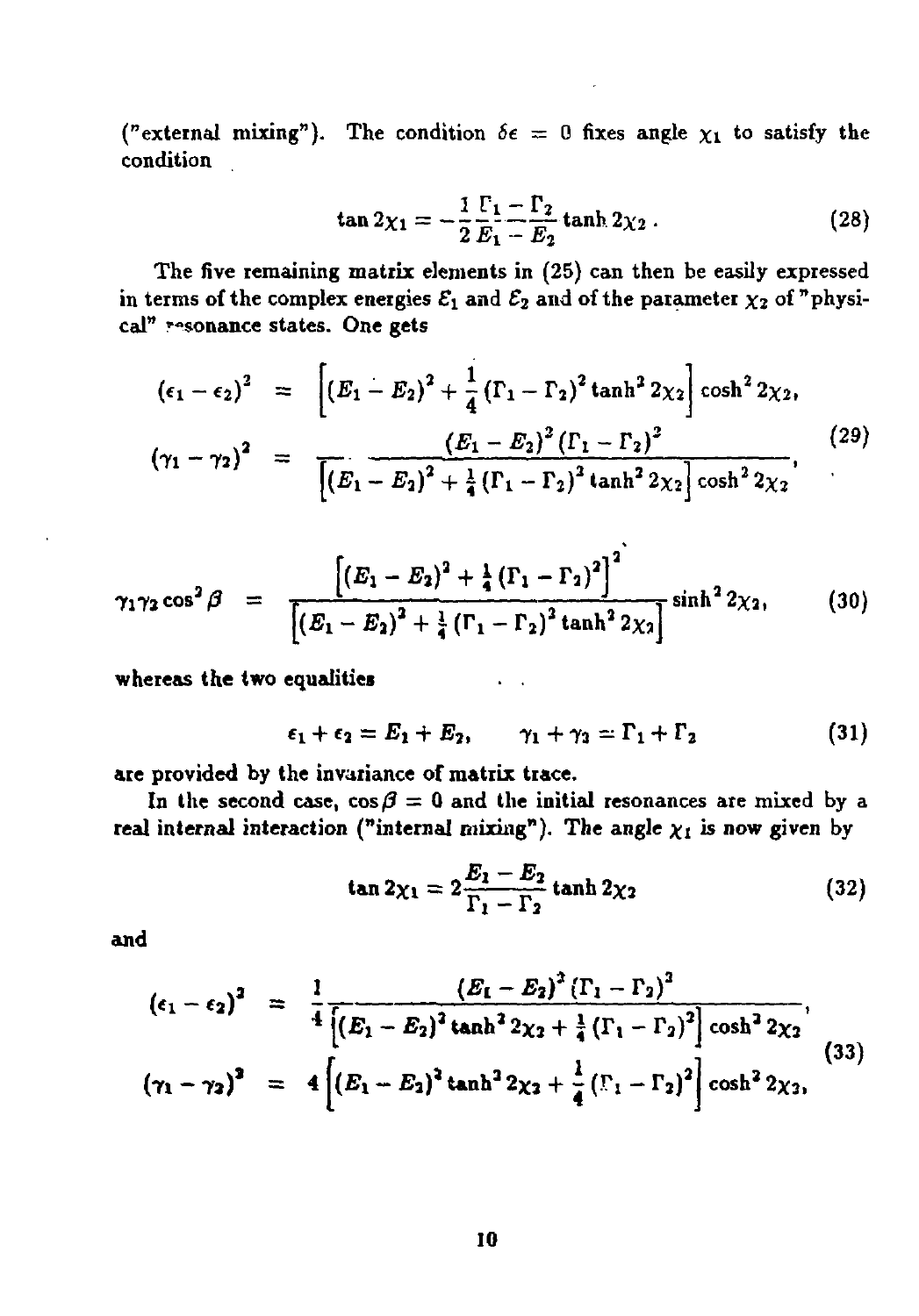("external mixing"). The condition  $\delta \epsilon = 0$  fixes angle  $\chi_1$  to satisfy the **condition**

$$
\tan 2\chi_1 = -\frac{1}{2}\frac{\Gamma_1 - \Gamma_2}{E_1 - E_2} \tanh 2\chi_2 \,. \tag{28}
$$

**The five remaining matrix elements in (25) can then be easily expressed** in terms of the complex energies  $\mathcal{E}_1$  and  $\mathcal{E}_2$  and of the parameter  $\chi_2$  of "physi**cal" r-sonance states. One gets**

$$
(\epsilon_1 - \epsilon_2)^2 = \left[ (E_1 - E_2)^2 + \frac{1}{4} (\Gamma_1 - \Gamma_2)^2 \tanh^2 2\chi_2 \right] \cosh^2 2\chi_2,
$$
  

$$
(\gamma_1 - \gamma_2)^2 = \frac{(E_1 - E_2)^2 (\Gamma_1 - \Gamma_2)^2}{\left[ (E_1 - E_2)^2 + \frac{1}{4} (\Gamma_1 - \Gamma_2)^2 \tanh^2 2\chi_2 \right] \cosh^2 2\chi_2},
$$
 (29)

$$
\gamma_1\gamma_2\cos^2\beta = \frac{\left[(E_1 - E_2)^2 + \frac{1}{4}(\Gamma_1 - \Gamma_2)^2\right]^2}{\left[(E_1 - E_2)^2 + \frac{1}{4}(\Gamma_1 - \Gamma_2)^2\tanh^2 2\chi_2\right]}\sinh^2 2\chi_2,
$$
 (30)

**whereas the two equalities • .**

$$
\epsilon_1 + \epsilon_2 = E_1 + E_2, \qquad \gamma_1 + \gamma_2 = \Gamma_1 + \Gamma_2 \tag{31}
$$

**provided by the invariance of matrix trace. are**

In the second case,  $\cos \beta = 0$  and the initial resonances are mixed by a **1 c internal interaction** ("internal mixing"). The angle  $\chi_1$  is now given by

$$
\tan 2\chi_1 = 2\frac{E_1 - E_2}{\Gamma_1 - \Gamma_2} \tanh 2\chi_2 \tag{32}
$$

**and**

$$
(\epsilon_1 - \epsilon_2)^2 = \frac{1}{4} \frac{(E_1 - E_2)^2 (\Gamma_1 - \Gamma_2)^2}{[(E_1 - E_2)^2 \tanh^2 2\chi_2 + \frac{1}{4} (\Gamma_1 - \Gamma_2)^2] \cosh^2 2\chi_2},
$$
  

$$
(\gamma_1 - \gamma_2)^2 = 4 \left[ (E_1 - E_2)^2 \tanh^2 2\chi_2 + \frac{1}{4} (\Gamma_1 - \Gamma_2)^2 \right] \cosh^2 2\chi_2,
$$
 (33)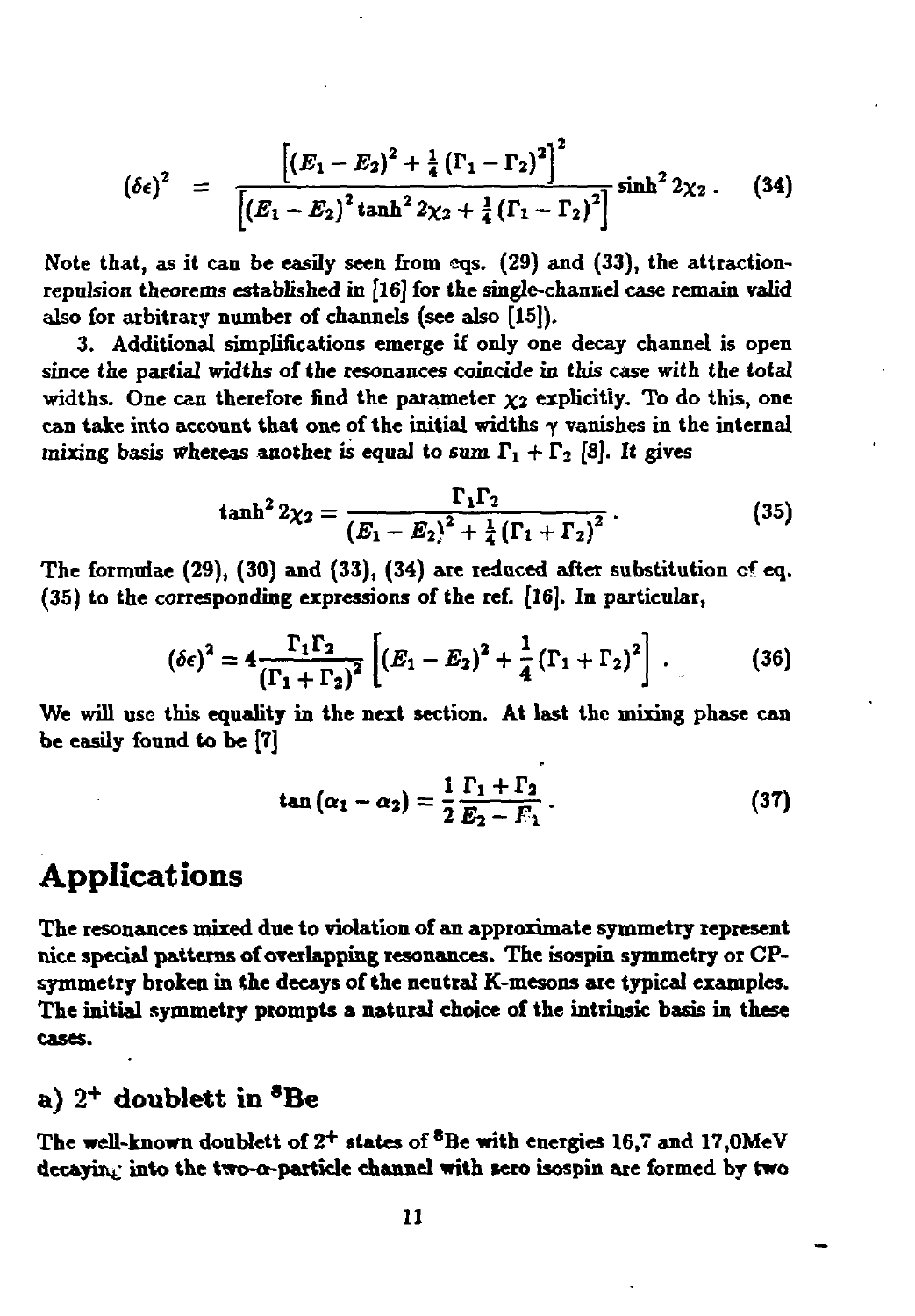$$
(\delta\epsilon)^2 = \frac{\left[ (E_1 - E_2)^2 + \frac{1}{4} (\Gamma_1 - \Gamma_2)^2 \right]^2}{\left[ (E_1 - E_2)^2 \tanh^2 2\chi_2 + \frac{1}{4} (\Gamma_1 - \Gamma_2)^2 \right]} \sinh^2 2\chi_2. \quad (34)
$$

**Note that, as it can be easily seen from cqs. (29) and (33), the attractionrepulsion theorems established in [16] foi the single-channel case remain valid also for arbitrary number of channels (see also [15]).**

**3. Additional simplifications emerge if only one decay channel is open since the partial widths of the resonances coincide in this case with the total** widths. One can therefore find the parameter  $\chi_2$  explicitly. To do this, one **can take into account that one of the initial widths** *у* **vanishes in the internal mixing** basis whereas another is equal to sum  $\Gamma_1 + \Gamma_2$  [8]. It gives

$$
\tanh^2 2\chi_2 = \frac{\Gamma_1 \Gamma_2}{\left(E_1 - E_2\right)^2 + \frac{1}{4} \left(\Gamma_1 + \Gamma_2\right)^2} \,. \tag{35}
$$

**The formulae (29), (30) and (33), (34) are reduced after substitution cf eq. (35) to the corresponding expressions of the ref. [16].In particular,**

$$
(\delta \epsilon)^2 = 4 \frac{\Gamma_1 \Gamma_2}{(\Gamma_1 + \Gamma_2)^2} \left[ (E_1 - E_2)^2 + \frac{1}{4} (\Gamma_1 + \Gamma_2)^2 \right]. \tag{36}
$$

**We will use this equality in the next section. At last the mixing phase can be easily found to be [7]**

$$
\tan{(\alpha_1 - \alpha_2)} = \frac{1}{2} \frac{\Gamma_1 + \Gamma_2}{E_2 - E_1} \,. \tag{37}
$$

## Applications

**The resonances mixed due to violation of an approximate symmetry represent nice special patterns ofoverlapping resonances. The isospin symmetry or CPsymmetry broken in the decays of the neutral K-mesons are typical examples. The initial symmetry prompts a natural choice of the intrinsic basis in these cases.**

## a)  $2^+$  doublett in  ${}^{\bf 8}{\bf Be}$

**The well-known doublett of 2 + states of \*Be with energies 16,7 and 17,0MeV decaying into the two-a-partkle channel with sero isospin are formed by two**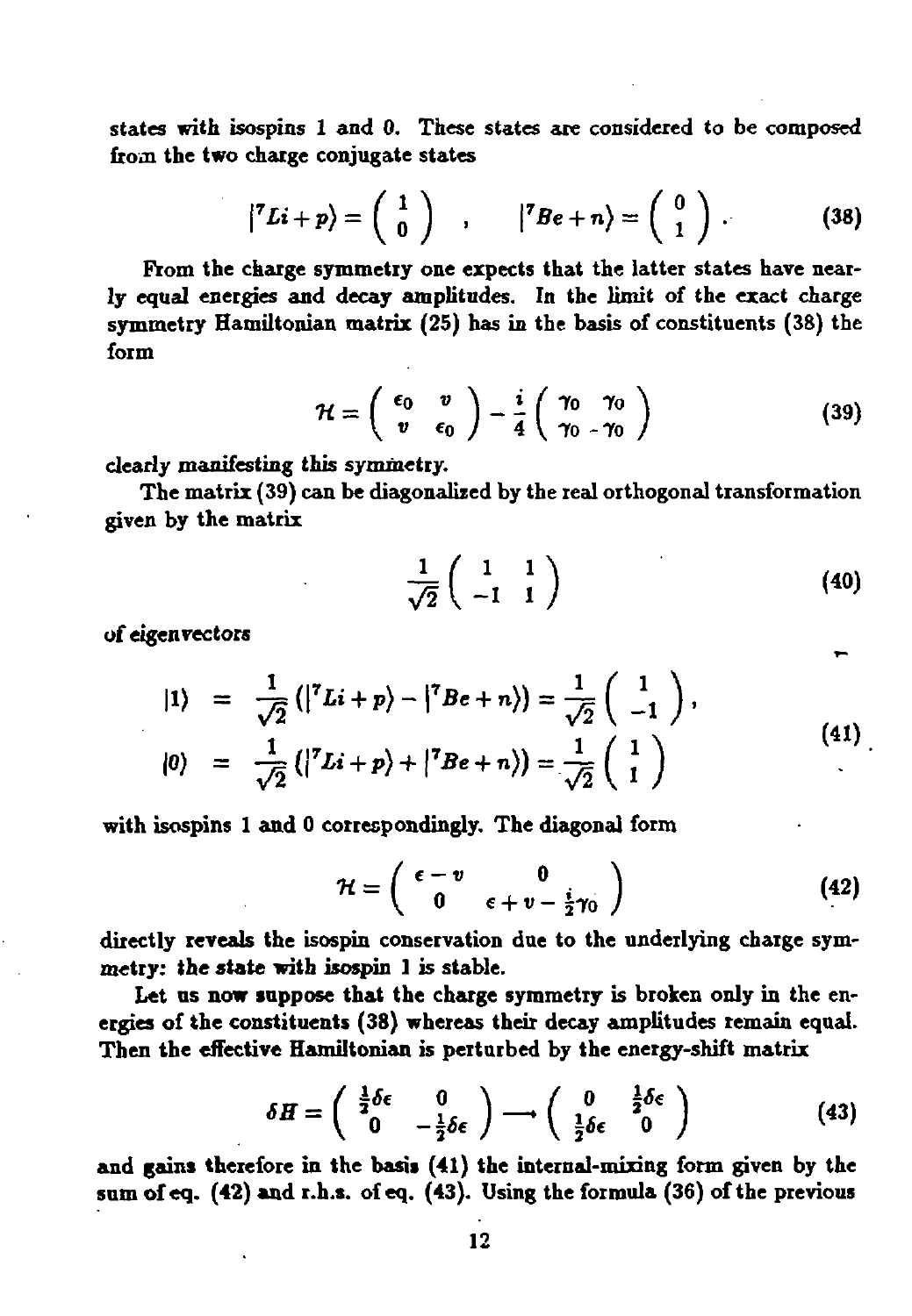**states with isospins 1 and 0. These states are considered to be composed from the two charge conjugate states**

$$
\left| \nabla L i + p \right\rangle = \left( \begin{array}{c} 1 \\ 0 \end{array} \right) , \qquad \left| \nabla B e + n \right\rangle = \left( \begin{array}{c} 0 \\ 1 \end{array} \right) . \tag{38}
$$

**From the charge symmetry one expects that the latter states have nearly equal energies and decay amplitudes. In the limit of the exact charge symmetry Hamiltonian matrix (25) has in the basis of constituents (38) the form**

$$
\mathcal{H} = \left(\begin{array}{cc} \epsilon_0 & v \\ v & \epsilon_0 \end{array}\right) - \frac{i}{4} \left(\begin{array}{cc} \gamma_0 & \gamma_0 \\ \gamma_0 & \gamma_0 \end{array}\right) \tag{39}
$$

**clearly manifesting this symmetry.**

**The matrix (39) can be diagonalized by the real orthogonal transformation given by the matrix**

$$
\frac{1}{\sqrt{2}}\left(\begin{array}{cc}1 & 1\\-1 & 1\end{array}\right) \tag{40}
$$

**of eigenvectors**

$$
|1\rangle = \frac{1}{\sqrt{2}} (|{}^{7}Li + p\rangle - |{}^{7}Be + n\rangle) = \frac{1}{\sqrt{2}} \begin{pmatrix} 1 \\ -1 \end{pmatrix},
$$
  

$$
|0\rangle = \frac{1}{\sqrt{2}} (|{}^{7}Li + p\rangle + |{}^{7}Be + n\rangle) = \frac{1}{\sqrt{2}} \begin{pmatrix} 1 \\ 1 \end{pmatrix},
$$
 (41)

**with isospins 1 and 0 correspondingly. The diagonal form**

$$
\mathcal{H} = \left( \begin{array}{cc} \epsilon - v & 0 \\ 0 & \epsilon + v - \frac{i}{2} \gamma_0 \end{array} \right) \tag{42}
$$

**directly reveals the isospin conservation due to the underlying charge symmetry: the state with isospin 1 is stable.**

**Let us now suppose that the charge symmetry is broken only in the energies of the constituents (38) whereas their decay amplitudes remain equal. Then the effective Hamiltonian is perturbed by the energy-shift matrix**

$$
\delta H = \begin{pmatrix} \frac{1}{2}\delta\epsilon & 0\\ 0 & -\frac{1}{2}\delta\epsilon \end{pmatrix} \longrightarrow \begin{pmatrix} 0 & \frac{1}{2}\delta\epsilon\\ \frac{1}{2}\delta\epsilon & 0 \end{pmatrix}
$$
 (43)  
and gains therefore in the basis (41) the internal-mixing form given by the

**sum of eq. (42) and r.h.s. of eq. (43). Using the formula (36) of the previous**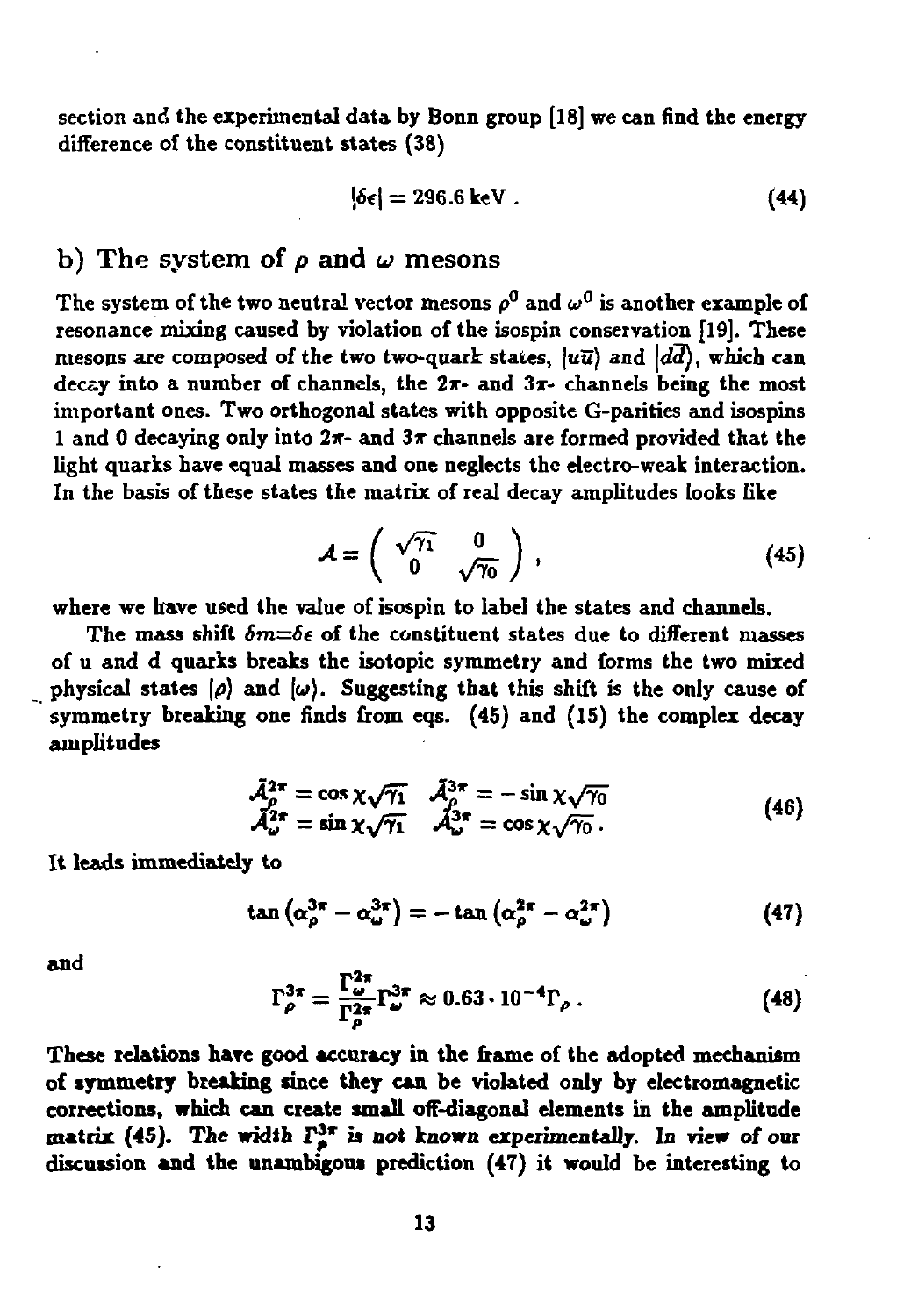section and the experimental data by Bonn group [18] we can find the energy difference of the constituent states (38)

$$
|\delta \epsilon| = 296.6 \text{ keV} \,. \tag{44}
$$

### b) The system of  $\rho$  and  $\omega$  mesons

The system of the two neutral vector mesons  $\rho^0$  and  $\omega^0$  is another example of resonance mixing caused by violation of the isospin conservation [19]. These mesons are composed of the two two-quark states,  $\langle u\overline{u}\rangle$  and  $\langle d\overline{d}\rangle$ , which can decay into a number of channels, the  $2\pi$ - and  $3\pi$ - channels being the most important ones. Two orthogonal states with opposite G-parities and isospins 1 and 0 decaying only into  $2\pi$ - and  $3\pi$  channels are formed provided that the light quarks have equal masses and one neglects the electro-weak interaction. In the basis of these states the matrix of real decay amplitudes looks like

$$
\mathcal{A} = \left( \begin{array}{cc} \sqrt{\gamma_1} & 0 \\ 0 & \sqrt{\gamma_0} \end{array} \right) , \tag{45}
$$

where we have used the value of isospin to label the states and channels.

The mass shift  $\delta m = \delta \epsilon$  of the constituent states due to different masses of u and d quarks breaks the isotopic symmetry and forms the two mixed physical states  $|\rho\rangle$  and  $|\omega\rangle$ . Suggesting that this shift is the only cause of symmetry breaking one finds from eqs. (45) and (IS) the complex decay amplitudes

$$
\tilde{\mathcal{A}}_{\rho}^{2\pi} = \cos \chi \sqrt{\gamma_1} \quad \tilde{\mathcal{A}}_{\rho}^{3\pi} = -\sin \chi \sqrt{\gamma_0} \n\tilde{\mathcal{A}}_{\omega}^{2\pi} = \sin \chi \sqrt{\gamma_1} \quad \tilde{\mathcal{A}}_{\omega}^{3\pi} = \cos \chi \sqrt{\gamma_0} .
$$
\n(46)

It **leads immediately** to

$$
\tan\left(\alpha_{\rho}^{3\pi}-\alpha_{\omega}^{3\pi}\right)=-\tan\left(\alpha_{\rho}^{2\pi}-\alpha_{\omega}^{2\pi}\right) \tag{47}
$$

**and**

$$
\Gamma_{\rho}^{3\pi} = \frac{\Gamma_{\omega}^{2\pi}}{\Gamma_{\rho}^{2\pi}} \Gamma_{\omega}^{3\pi} \approx 0.63 \cdot 10^{-4} \Gamma_{\rho} \,. \tag{48}
$$

**These relations have good accuracy in the frame of the** adopted **mechanism of symmetry breaking since they can be violated only** by **electromagnetic corrections, which can create small** off-diagonal elements **in the** amplitude **matrix (45). The width I\*\* is not known** experimentally. **In view of our discussion and the unambigous** prediction **(47) it would be interesting to**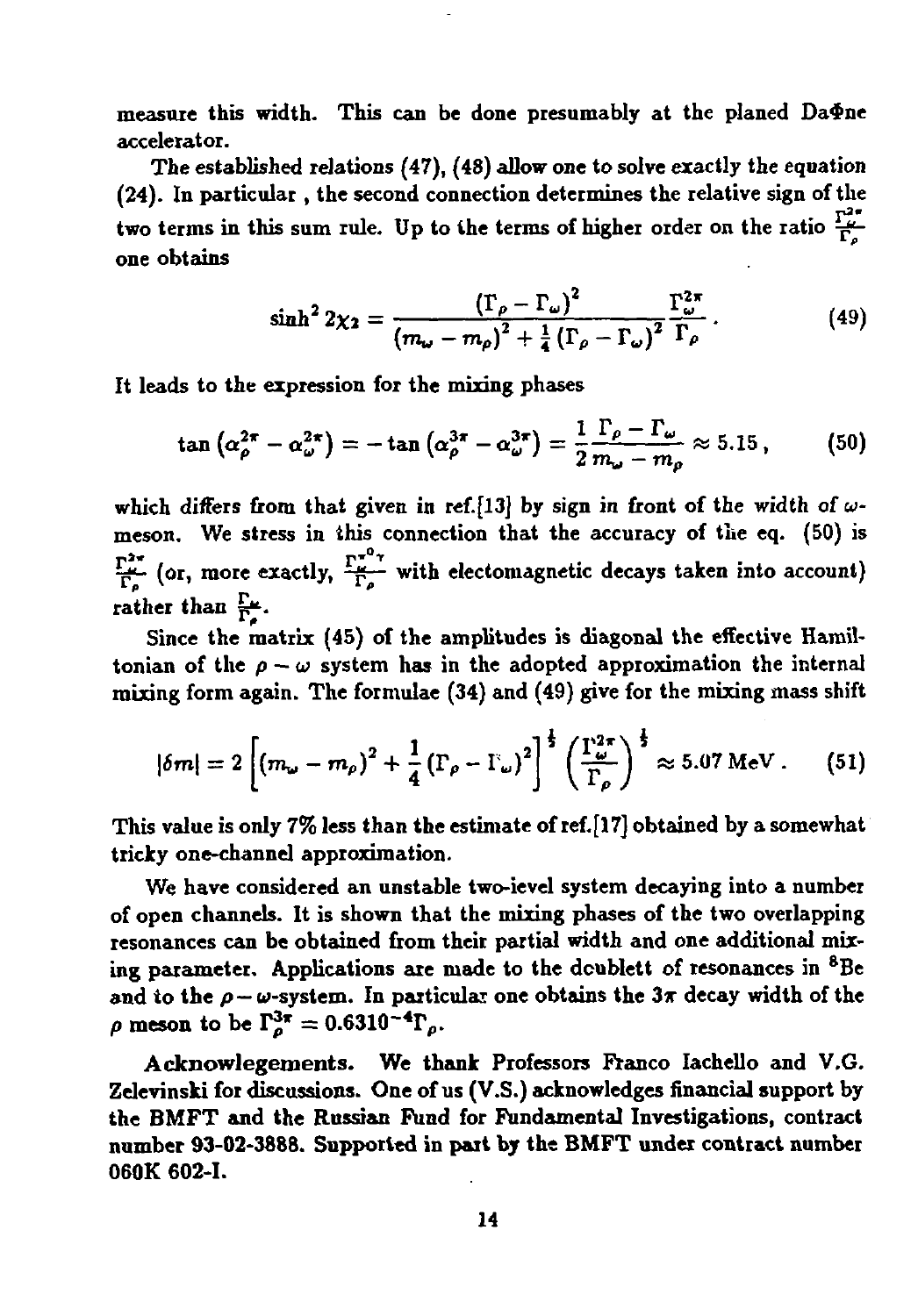**measure this width. This can be done presumably at the planed Бафпе accelerator.**

**The established relations (47), (48) allow one to solve exactly the equation (24). In particular , the second connection determines the relative sign of the two terms in this sum rule.** Up to the terms of higher order on the ratio  $\frac{\Gamma_c^2}{\Gamma_c}$ **one obtains**

$$
\sinh^2 2\chi_2 = \frac{\left(\Gamma_\rho - \Gamma_\omega\right)^2}{\left(m_\omega - m_\rho\right)^2 + \frac{1}{4}\left(\Gamma_\rho - \Gamma_\omega\right)^2} \frac{\Gamma_\omega^{2\pi}}{\Gamma_\rho} \,. \tag{49}
$$

**It leads to the expression for the mixing phases**

$$
\tan\left(\alpha_{\rho}^{2\pi}-\alpha_{\omega}^{2\pi}\right)=-\tan\left(\alpha_{\rho}^{3\pi}-\alpha_{\omega}^{3\pi}\right)=\frac{1}{2}\frac{\Gamma_{\rho}-\Gamma_{\omega}}{m_{\omega}-m_{\rho}}\approx 5.15\,,\qquad(50)
$$

**which differs from that given in ref.[13] by sign in front of the width of wmeson. We stress in this connection that the accuracy of the eq. (50) is**  $\frac{Y^{2\pi}}{\Gamma_p}$  (or, more exactly,  $\frac{Y^{2\pi}}{\Gamma_p}$  with electomagnetic decays taken into account) rather than  $\frac{\Gamma_{\bullet}}{\Gamma_{\bullet}}$ .

**Since the matrix (45) of the amplitudes is diagonal the effective Hamiltonian** of the  $\rho - \omega$  system has in the adopted approximation the internal **mixing form again. The formulae (34) and (49) give for the mixing mass shift**

$$
|\delta m| = 2\left[\left(m_{\omega}-m_{\rho}\right)^2+\frac{1}{4}\left(\Gamma_{\rho}-\Gamma_{\omega}\right)^2\right]^{\frac{1}{2}}\left(\frac{\Gamma_{\omega}^{2\pi}}{\Gamma_{\rho}}\right)^{\frac{1}{2}} \approx 5.07 \text{ MeV}. \tag{51}
$$

**This value is only 7% less than the estimate of ref.[17] obtained by a somewhat tricky one-channel approximation.**

**We have considered an unstable twc-ievel system decaying into a number of open channels. It is shown that the mixing phases of the two overlapping resonances can be obtained from their partial width and one additional mixing parameter. Applications are made to the dcublett of resonances in <sup>8</sup>Be** and to the  $\rho - \omega$ -system. In particular one obtains the  $3\pi$  decay width of the  $\rho$  **meson** to be  $\Gamma_{\rho}^{3\pi} = 0.6310^{-4} \Gamma_{\rho}$ .

**Acknowlegements. We thank Professors Franco Iachello and V.G. Zelevinski for discussions. One of us (V.S.) acknowledges financial support by the BMFT and the Russian Fund for Fundamental Investigations, contract number 93-02-3888. Supported in part by the BMFT under contract number 060K 602-1.**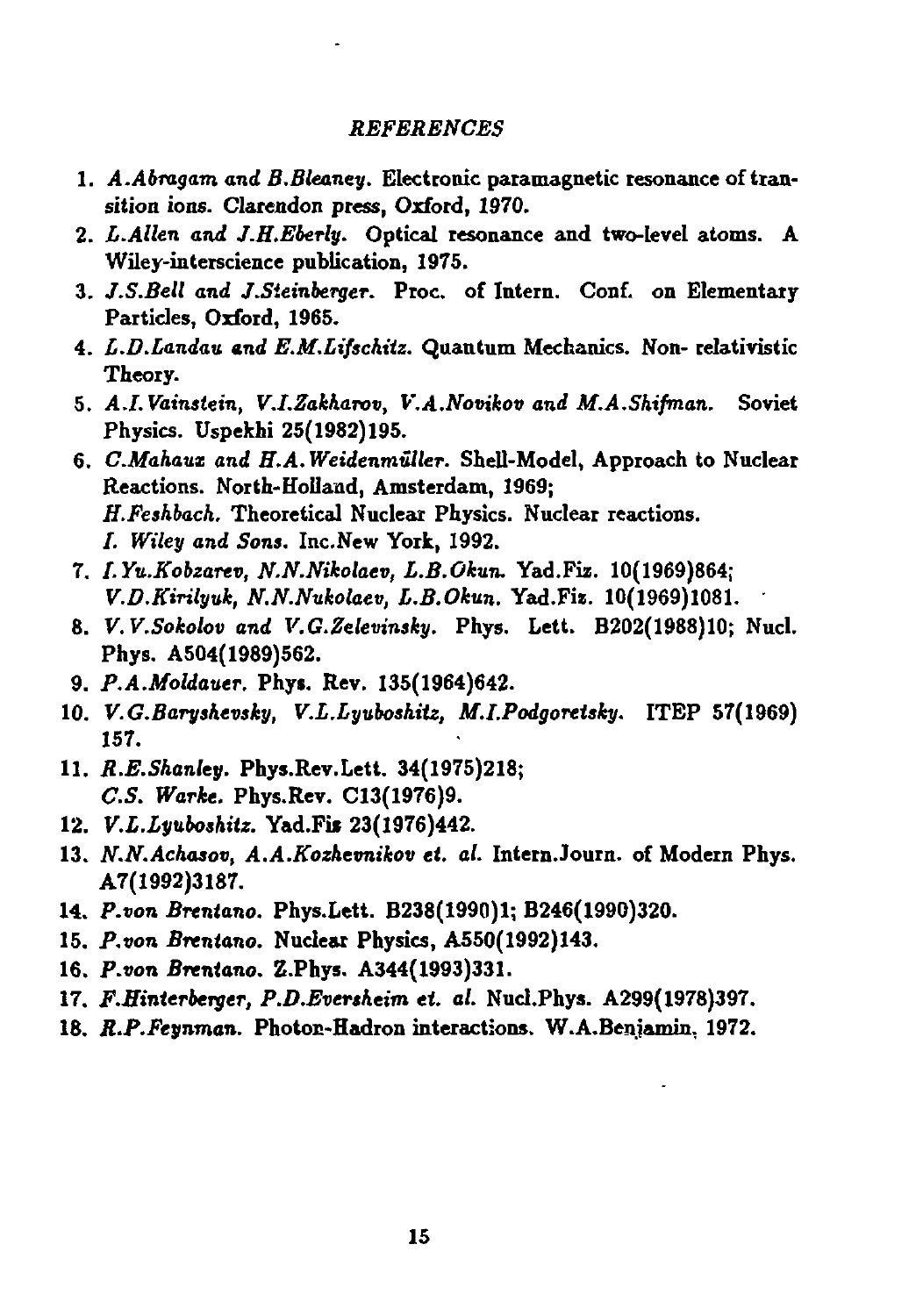#### *REFERENCES*

- **1.** *A.Abragam and B.Bleaney.* **Electronic paramagnetic resonance of transition ions. Clarendon press, Oxford, 1970.**
- **2.** *L.Allen and J.H.Eberly.* **Optical resonance and two-level atoms. A Wiley-interscience publication, 1975.**
- **3.** *J.S.Bell and J.Steinberger.* **Proc. of Intern. Conf. on Elementary Particles, Oxford, 1965.**
- **4.** *L.D.Landaij. and E.M.Liftchitz.* **Quantum Mechanics. Non- relativistic Theory.**
- **5.** *A.I.Vainstein, V.I.Zakharov, V.A.Novikov and M.A.Shifman.* **Soviet Physics. Uspekhi 25(1982)195.**
- **6.** *C.Mahatix and H.A. Weidenmiller.* **Shell-Model, Approach to Nuclear Reactions. North-Holland, Amsterdam, 1969;**  *H.Feskback.* **Theoretical Nuclear Physics. Nuclear reactions. /.** *Wiley and Sons.* **Inc.New York, 1992.**
- **7.** *I.Yn.Kobzarev, N.N.Nikolaev, L.B.Okun.* **Yad.Fiz. 10(1969)864;**  *V.D.Kirilyuk, N.N.Nukolaev, L.B.Okun.* **Yad.Fi\*. 10(1969)1081.**
- **8.** *V.V.Sokolov and V.G.Zelevinsky.* **Phys. Lett. B202(1988)10; Nucl. Phys. A504( 1989)562.**
- **9.** *P.A.Moldauer.* **Phys. Rev. 135(1964)642.**
- 10. *V.G.Baryshevsky, V.L.Lyuboshitz, M.I.Podgoretsky.* ITEP 57(1969) **157.**
- **11.** *R.E.Shanley.* **Phys.Rev.Lett. 34(1975)218;**  *C.S. Warke.* **Phys.Rev. C13(1976)9.**
- 12. *V.L.Lyuboshitz.* Yad.Fis 23(1976)442.
- **13.** *N.N.Achasov, A.A.Kozhevnikov ei. al.* **Intern.Journ. of Modern Phys. A7(1992)3187.**
- **14.** *P.von BTentano.* **Phys.Lett. B238(1990)l; B246(1990)320.**
- **15.** *P.von Brcntano.* **Nuclear Physics, A550(1992)143.**
- **16.** *P.von Brentano.* **Z.Phys. A344(1993)331.**
- 17. *F.Hinterberger, P.D.Eversheim et. al. Nucl.Phys. A299(1978)397.*
- **18.** *R.P.Feynman.* **Photon-Hadron interactions. W.A.Beniamin, 1972.**